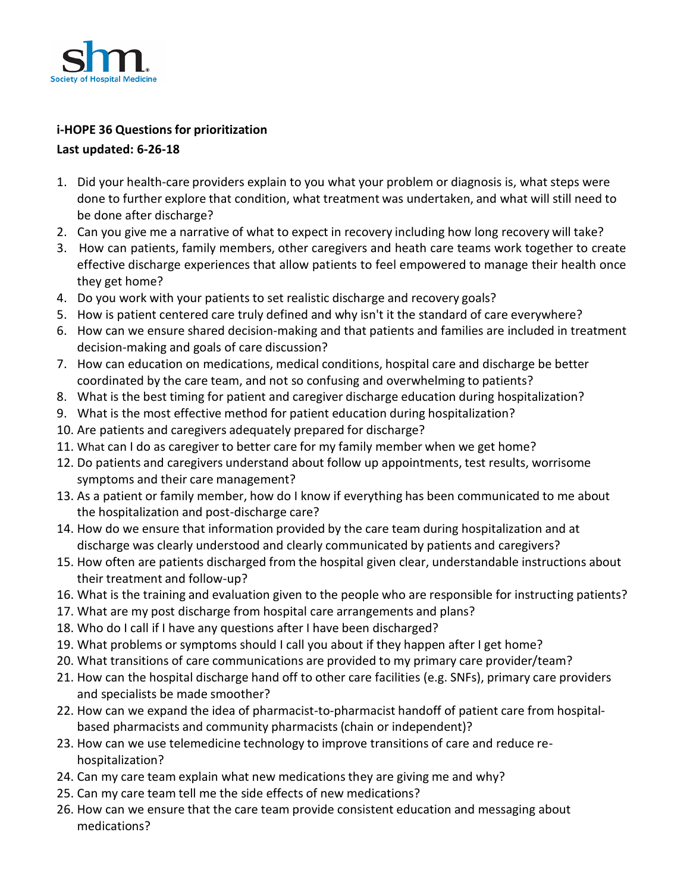

## **i-HOPE 36 Questions for prioritization**

## **Last updated: 6-26-18**

- 1. Did your health-care providers explain to you what your problem or diagnosis is, what steps were done to further explore that condition, what treatment was undertaken, and what will still need to be done after discharge?
- 2. Can you give me a narrative of what to expect in recovery including how long recovery will take?
- 3. How can patients, family members, other caregivers and heath care teams work together to create effective discharge experiences that allow patients to feel empowered to manage their health once they get home?
- 4. Do you work with your patients to set realistic discharge and recovery goals?
- 5. How is patient centered care truly defined and why isn't it the standard of care everywhere?
- 6. How can we ensure shared decision-making and that patients and families are included in treatment decision-making and goals of care discussion?
- 7. How can education on medications, medical conditions, hospital care and discharge be better coordinated by the care team, and not so confusing and overwhelming to patients?
- 8. What is the best timing for patient and caregiver discharge education during hospitalization?
- 9. What is the most effective method for patient education during hospitalization?
- 10. Are patients and caregivers adequately prepared for discharge?
- 11. What can I do as caregiver to better care for my family member when we get home?
- 12. Do patients and caregivers understand about follow up appointments, test results, worrisome symptoms and their care management?
- 13. As a patient or family member, how do I know if everything has been communicated to me about the hospitalization and post-discharge care?
- 14. How do we ensure that information provided by the care team during hospitalization and at discharge was clearly understood and clearly communicated by patients and caregivers?
- 15. How often are patients discharged from the hospital given clear, understandable instructions about their treatment and follow-up?
- 16. What is the training and evaluation given to the people who are responsible for instructing patients?
- 17. What are my post discharge from hospital care arrangements and plans?
- 18. Who do I call if I have any questions after I have been discharged?
- 19. What problems or symptoms should I call you about if they happen after I get home?
- 20. What transitions of care communications are provided to my primary care provider/team?
- 21. How can the hospital discharge hand off to other care facilities (e.g. SNFs), primary care providers and specialists be made smoother?
- 22. How can we expand the idea of pharmacist-to-pharmacist handoff of patient care from hospitalbased pharmacists and community pharmacists (chain or independent)?
- 23. How can we use telemedicine technology to improve transitions of care and reduce rehospitalization?
- 24. Can my care team explain what new medicationsthey are giving me and why?
- 25. Can my care team tell me the side effects of new medications?
- 26. How can we ensure that the care team provide consistent education and messaging about medications?